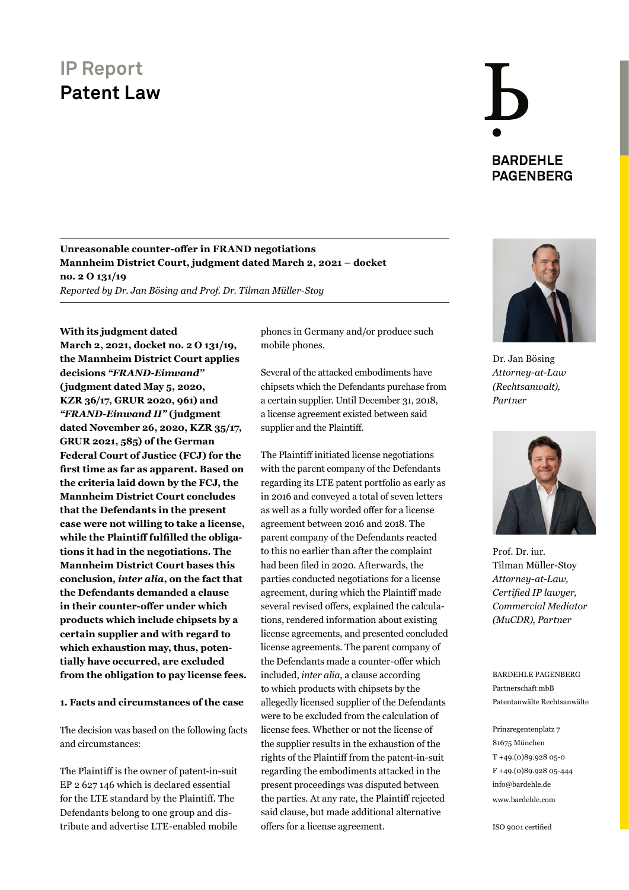### **Unreasonable counter-offer in FRAND negotiations Mannheim District Court, judgment dated March 2, 2021 – docket no. 2 O 131/19**

*Reported by Dr. Jan Bösing and Prof. Dr. Tilman Müller-Stoy*

#### **With its judgment dated**

**March 2, 2021, docket no. 2 O 131/19, the Mannheim District Court applies decisions** *["FRAND-Einwand"](https://media.bardehle.com/contentdocuments/ip_reports/20200505-BARDEHLE-PAGENBERG-Sisvel-Haier_judgment-KZR-3617_EN_.pdf)* **[\(judgment dated May](https://media.bardehle.com/contentdocuments/ip_reports/20200505-BARDEHLE-PAGENBERG-Sisvel-Haier_judgment-KZR-3617_EN_.pdf) 5, 2020, KZR [36/17, GRUR 2020, 961\)](https://media.bardehle.com/contentdocuments/ip_reports/20200505-BARDEHLE-PAGENBERG-Sisvel-Haier_judgment-KZR-3617_EN_.pdf) and**  *["FRAND-Einwand](https://media.bardehle.com/contentdocuments/ip_reports/BARDEHLE-PAGENBERG-Translation-FRAND-Einwand-II-judgment-Sisvel-Haier.pdf) II"* **(judgment [dated November](https://media.bardehle.com/contentdocuments/ip_reports/BARDEHLE-PAGENBERG-Translation-FRAND-Einwand-II-judgment-Sisvel-Haier.pdf) 26, 2020, KZR 35/17, [GRUR 2021, 585\)](https://media.bardehle.com/contentdocuments/ip_reports/BARDEHLE-PAGENBERG-Translation-FRAND-Einwand-II-judgment-Sisvel-Haier.pdf) of the German Federal Court of Justice (FCJ) for the first time as far as apparent. Based on the criteria laid down by the FCJ, the Mannheim District Court concludes that the Defendants in the present case were not willing to take a license, while the Plaintiff fulfilled the obligations it had in the negotiations. The Mannheim District Court bases this conclusion,** *inter alia***, on the fact that the Defendants demanded a clause in their counter-offer under which products which include chipsets by a certain supplier and with regard to which exhaustion may, thus, potentially have occurred, are excluded from the obligation to pay license fees.**

#### **1. Facts and circumstances of the case**

The decision was based on the following facts and circumstances:

The Plaintiff is the owner of patent-in-suit EP 2 627 146 which is declared essential for the LTE standard by the Plaintiff. The Defendants belong to one group and distribute and advertise LTE-enabled mobile

phones in Germany and/or produce such mobile phones.

Several of the attacked embodiments have chipsets which the Defendants purchase from a certain supplier. Until December 31, 2018, a license agreement existed between said supplier and the Plaintiff.

The Plaintiff initiated license negotiations with the parent company of the Defendants regarding its LTE patent portfolio as early as in 2016 and conveyed a total of seven letters as well as a fully worded offer for a license agreement between 2016 and 2018. The parent company of the Defendants reacted to this no earlier than after the complaint had been filed in 2020. Afterwards, the parties conducted negotiations for a license agreement, during which the Plaintiff made several revised offers, explained the calculations, rendered information about existing license agreements, and presented concluded license agreements. The parent company of the Defendants made a counter-offer which included, *inter alia*, a clause according to which products with chipsets by the allegedly licensed supplier of the Defendants were to be excluded from the calculation of license fees. Whether or not the license of the supplier results in the exhaustion of the rights of the Plaintiff from the patent-in-suit regarding the embodiments attacked in the present proceedings was disputed between the parties. At any rate, the Plaintiff rejected said clause, but made additional alternative offers for a license agreement.



**BARDEHLE PAGENBERG** 

Dr. Jan Bösing *[Attorney-at-Law](https://www.bardehle.com/en/team/boesing-jan)  (Rechtsanwalt), Partner*



Prof. Dr. iur. Tilman Müller-Stoy *Attorney-at-Law, Certified IP lawyer, [Commercial Mediator](https://www.bardehle.com/en/team/mueller-stoy-tilman)  (MuCDR), Partner*

BARDEHLE PAGENBERG Partnerschaft mbB Patentanwälte Rechtsanwälte

Prinzregentenplatz 7 81675 München T +49.(0)89.928 05-0 F +49.(0)89.928 05-444 [info@bardehle.de](mailto:info%40bardehle.de?subject=) [www.bardehle.com](https://www.bardehle.com)

ISO 9001 certified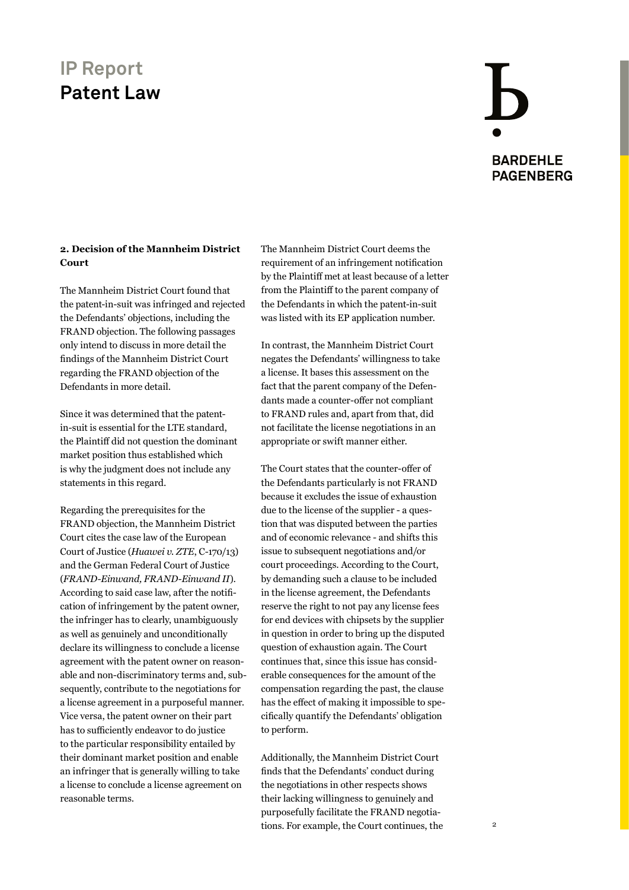# **BARDEHLE PAGENBERG**

### **2. Decision of the Mannheim District Court**

The Mannheim District Court found that the patent-in-suit was infringed and rejected the Defendants' objections, including the FRAND objection. The following passages only intend to discuss in more detail the findings of the Mannheim District Court regarding the FRAND objection of the Defendants in more detail.

Since it was determined that the patentin-suit is essential for the LTE standard, the Plaintiff did not question the dominant market position thus established which is why the judgment does not include any statements in this regard.

Regarding the prerequisites for the FRAND objection, the Mannheim District Court cites the case law of the European Court of Justice (*Huawei v. ZTE*, C-170/13) and the German Federal Court of Justice (*FRAND-Einwand, FRAND-Einwand II*). According to said case law, after the notification of infringement by the patent owner, the infringer has to clearly, unambiguously as well as genuinely and unconditionally declare its willingness to conclude a license agreement with the patent owner on reasonable and non-discriminatory terms and, subsequently, contribute to the negotiations for a license agreement in a purposeful manner. Vice versa, the patent owner on their part has to sufficiently endeavor to do justice to the particular responsibility entailed by their dominant market position and enable an infringer that is generally willing to take a license to conclude a license agreement on reasonable terms.

The Mannheim District Court deems the requirement of an infringement notification by the Plaintiff met at least because of a letter from the Plaintiff to the parent company of the Defendants in which the patent-in-suit was listed with its EP application number.

In contrast, the Mannheim District Court negates the Defendants' willingness to take a license. It bases this assessment on the fact that the parent company of the Defendants made a counter-offer not compliant to FRAND rules and, apart from that, did not facilitate the license negotiations in an appropriate or swift manner either.

The Court states that the counter-offer of the Defendants particularly is not FRAND because it excludes the issue of exhaustion due to the license of the supplier - a question that was disputed between the parties and of economic relevance - and shifts this issue to subsequent negotiations and/or court proceedings. According to the Court, by demanding such a clause to be included in the license agreement, the Defendants reserve the right to not pay any license fees for end devices with chipsets by the supplier in question in order to bring up the disputed question of exhaustion again. The Court continues that, since this issue has considerable consequences for the amount of the compensation regarding the past, the clause has the effect of making it impossible to specifically quantify the Defendants' obligation to perform.

Additionally, the Mannheim District Court finds that the Defendants' conduct during the negotiations in other respects shows their lacking willingness to genuinely and purposefully facilitate the FRAND negotiations. For example, the Court continues, the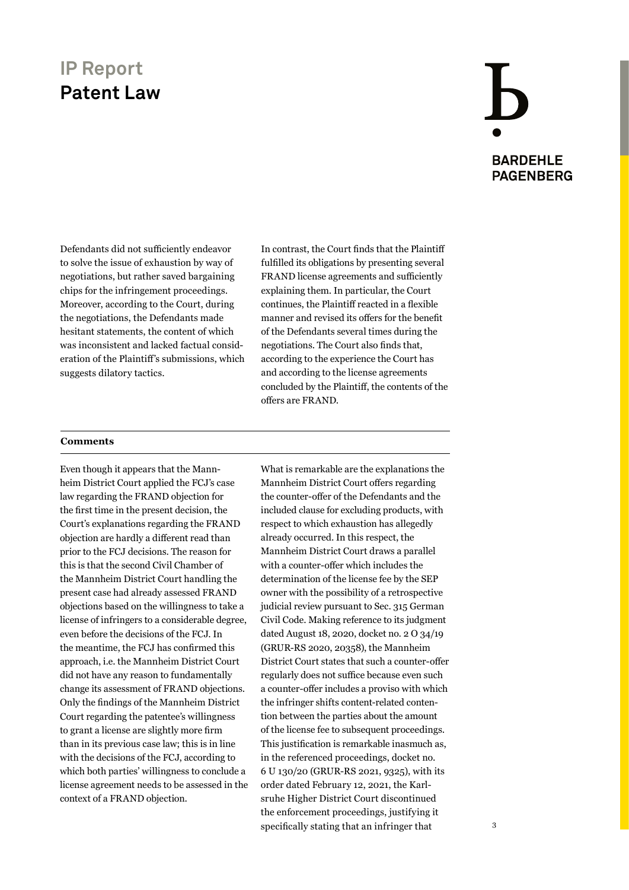# **BARDEHLE PAGENBERG**

Defendants did not sufficiently endeavor to solve the issue of exhaustion by way of negotiations, but rather saved bargaining chips for the infringement proceedings. Moreover, according to the Court, during the negotiations, the Defendants made hesitant statements, the content of which was inconsistent and lacked factual consideration of the Plaintiff's submissions, which suggests dilatory tactics.

In contrast, the Court finds that the Plaintiff fulfilled its obligations by presenting several FRAND license agreements and sufficiently explaining them. In particular, the Court continues, the Plaintiff reacted in a flexible manner and revised its offers for the benefit of the Defendants several times during the negotiations. The Court also finds that, according to the experience the Court has and according to the license agreements concluded by the Plaintiff, the contents of the offers are FRAND.

#### **Comments**

Even though it appears that the Mannheim District Court applied the FCJ's case law regarding the FRAND objection for the first time in the present decision, the Court's explanations regarding the FRAND objection are hardly a different read than prior to the FCJ decisions. The reason for this is that the second Civil Chamber of the Mannheim District Court handling the present case had already assessed FRAND objections based on the willingness to take a license of infringers to a considerable degree, even before the decisions of the FCJ. In the meantime, the FCJ has confirmed this approach, i.e. the Mannheim District Court did not have any reason to fundamentally change its assessment of FRAND objections. Only the findings of the Mannheim District Court regarding the patentee's willingness to grant a license are slightly more firm than in its previous case law; this is in line with the decisions of the FCJ, according to which both parties' willingness to conclude a license agreement needs to be assessed in the context of a FRAND objection.

What is remarkable are the explanations the Mannheim District Court offers regarding the counter-offer of the Defendants and the included clause for excluding products, with respect to which exhaustion has allegedly already occurred. In this respect, the Mannheim District Court draws a parallel with a counter-offer which includes the determination of the license fee by the SEP owner with the possibility of a retrospective judicial review pursuant to Sec. 315 German Civil Code. Making reference to its judgment dated August 18, 2020, docket no. 2 O 34/19 (GRUR-RS 2020, 20358), the Mannheim District Court states that such a counter-offer regularly does not suffice because even such a counter-offer includes a proviso with which the infringer shifts content-related contention between the parties about the amount of the license fee to subsequent proceedings. This justification is remarkable inasmuch as, in the referenced proceedings, docket no. 6 U 130/20 (GRUR-RS 2021, 9325), with its order dated February 12, 2021, the Karlsruhe Higher District Court discontinued the enforcement proceedings, justifying it specifically stating that an infringer that